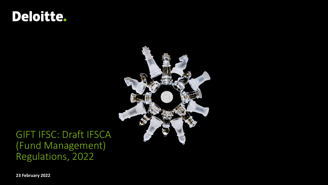# Deloitte.



### GIFT IFSC: Draft IFSCA (Fund Management) Regulations, 2022

**23 February 2022**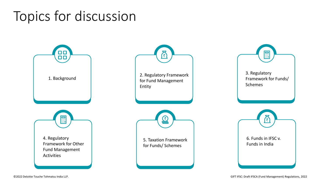# Topics for discussion

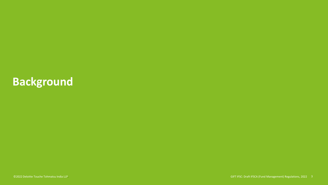## **Background**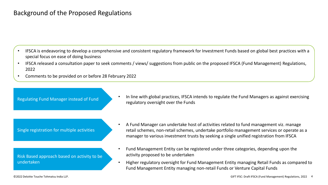### Background of the Proposed Regulations

- IFSCA is endeavoring to develop a comprehensive and consistent regulatory framework for Investment Funds based on global best practices with a special focus on ease of doing business
- IFSCA released a consultation paper to seek comments / views/ suggestions from public on the proposed IFSCA (Fund Management) Regulations, 2022
- Comments to be provided on or before 28 February 2022

Regulating Fund Manager instead of Fund

• In line with global practices, IFSCA intends to regulate the Fund Managers as against exercising regulatory oversight over the Funds

Single registration for multiple activities

Risk Based approach based on activity to be undertaken

- A Fund Manager can undertake host of activities related to fund management viz. manage retail schemes, non-retail schemes, undertake portfolio management services or operate as a manager to various investment trusts by seeking a single unified registration from IFSCA
- Fund Management Entity can be registered under three categories, depending upon the activity proposed to be undertaken
- Higher regulatory oversight for Fund Management Entity managing Retail Funds as compared to Fund Management Entity managing non-retail Funds or Venture Capital Funds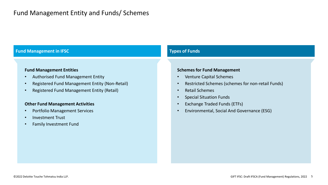### **Fund Management in IFSC Types of Funds**

#### **Fund Management Entities**

- Authorised Fund Management Entity
- Registered Fund Management Entity (Non-Retail)
- Registered Fund Management Entity (Retail)

### **Other Fund Management Activities**

- Portfolio Management Services
- Investment Trust
- Family Investment Fund

#### **Schemes for Fund Management**

- Venture Capital Schemes
- Restricted Schemes (schemes for non-retail Funds)
- Retail Schemes
- Special Situation Funds
- Exchange Traded Funds (ETFs)
- Environmental, Social And Governance (ESG)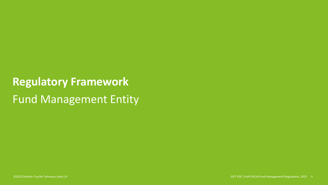# **Regulatory Framework** Fund Management Entity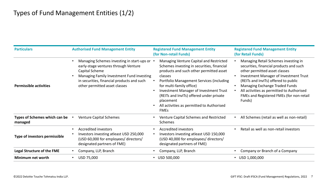| <b>Particulars</b>                       | <b>Authorised Fund Management Entity</b>                                                                                                                                                                                           | <b>Registered Fund Management Entity</b><br>(for Non-retail Funds)                                                                                                                                                                                                                                                                                                                 | <b>Registered Fund Management Entity</b><br>(for Retail Funds)                                                                                                                                                                                                                                                                                 |
|------------------------------------------|------------------------------------------------------------------------------------------------------------------------------------------------------------------------------------------------------------------------------------|------------------------------------------------------------------------------------------------------------------------------------------------------------------------------------------------------------------------------------------------------------------------------------------------------------------------------------------------------------------------------------|------------------------------------------------------------------------------------------------------------------------------------------------------------------------------------------------------------------------------------------------------------------------------------------------------------------------------------------------|
| <b>Permissible activities</b>            | Managing Schemes investing in start-ups or •<br>early-stage ventures through Venture<br>Capital Scheme<br>Managing Family Investment Fund investing<br>in securities, financial products and such<br>other permitted asset classes | Managing Venture Capital and Restricted<br>Schemes investing in securities, financial<br>products and such other permitted asset<br>classes<br>Portfolio Management Services (including<br>for multi-family office)<br>Investment Manager of Investment Trust<br>(REITs and InvITs) offered under private<br>placement<br>All activities as permitted to Authorised<br><b>FMEs</b> | Managing Retail Schemes investing in<br>securities, financial products and such<br>other permitted asset classes<br><b>Investment Manager of Investment Trust</b><br>(REITs and InvITs) offered to public<br>Managing Exchange Traded Funds<br>All activities as permitted to Authorised<br>FMEs and Registered FMEs (for non-retail<br>Funds) |
| Types of Schemes which can be<br>managed | <b>Venture Capital Schemes</b>                                                                                                                                                                                                     | Venture Capital Schemes and Restricted<br>Schemes                                                                                                                                                                                                                                                                                                                                  | All Schemes (retail as well as non-retail)                                                                                                                                                                                                                                                                                                     |
| Type of investors permissible            | <b>Accredited investors</b><br>Investors investing atleast USD 250,000<br>(USD 60,000 for employees/ directors/<br>designated partners of FME)                                                                                     | <b>Accredited investors</b><br>Investors investing atleast USD 150,000<br>(USD 40,000 for employees/ directors/<br>designated partners of FME)                                                                                                                                                                                                                                     | Retail as well as non-retail investors                                                                                                                                                                                                                                                                                                         |
| <b>Legal Structure of the FME</b>        | Company, LLP, Branch                                                                                                                                                                                                               | Company, LLP, Branch                                                                                                                                                                                                                                                                                                                                                               | Company or Branch of a Company                                                                                                                                                                                                                                                                                                                 |
| Minimum net worth                        | USD 75,000                                                                                                                                                                                                                         | USD 500,000                                                                                                                                                                                                                                                                                                                                                                        | $\cdot$ USD 1,000,000                                                                                                                                                                                                                                                                                                                          |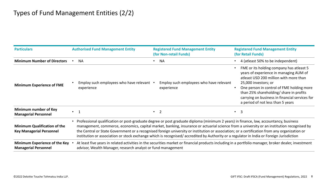| <b>Particulars</b>                                                     | <b>Authorised Fund Management Entity</b>                                                                                                                                                                                                                                                                                                                                                                                                                                                                                                                                        | <b>Registered Fund Management Entity</b><br>(for Non-retail Funds) | <b>Registered Fund Management Entity</b><br>(for Retail Funds)                                                                                                                                                                                                                                                                      |
|------------------------------------------------------------------------|---------------------------------------------------------------------------------------------------------------------------------------------------------------------------------------------------------------------------------------------------------------------------------------------------------------------------------------------------------------------------------------------------------------------------------------------------------------------------------------------------------------------------------------------------------------------------------|--------------------------------------------------------------------|-------------------------------------------------------------------------------------------------------------------------------------------------------------------------------------------------------------------------------------------------------------------------------------------------------------------------------------|
| <b>Minimum Number of Directors</b>                                     | <b>NA</b>                                                                                                                                                                                                                                                                                                                                                                                                                                                                                                                                                                       | <b>NA</b>                                                          | 4 (atleast 50% to be independent)                                                                                                                                                                                                                                                                                                   |
| <b>Minimum Experience of FME</b>                                       | Employ such employees who have relevant .<br>experience                                                                                                                                                                                                                                                                                                                                                                                                                                                                                                                         | Employ such employees who have relevant<br>experience              | FME or its holding company has atleast 5<br>years of experience in managing AUM of<br>atleast USD 200 million with more than<br>25,000 investors; or<br>One person in control of FME holding more<br>than 25% shareholding/ share in profits<br>carrying on business in financial services for<br>a period of not less than 5 years |
| Minimum number of Key<br><b>Managerial Personnel</b>                   | $\cdot$ 1                                                                                                                                                                                                                                                                                                                                                                                                                                                                                                                                                                       | $\bullet$ 2                                                        | $\overline{3}$<br>$\bullet$                                                                                                                                                                                                                                                                                                         |
| <b>Minimum Qualification of the</b><br><b>Key Managerial Personnel</b> | Professional qualification or post-graduate degree or post graduate diploma (minimum 2 years) in finance, law, accountancy, business<br>management, commerce, economics, capital market, banking, insurance or actuarial science from a university or an institution recognised by<br>the Central or State Government or a recognised foreign university or institution or association; or a certification from any organization or<br>institution or association or stock exchange which is recognised/accredited by Authority or a regulator in India or Foreign Jurisdiction |                                                                    |                                                                                                                                                                                                                                                                                                                                     |
| Minimum Experience of the Key<br><b>Managerial Personnel</b>           | At least five years in related activities in the securities market or financial products including in a portfolio manager, broker dealer, investment<br>advisor, Wealth Manager, research analyst or fund management                                                                                                                                                                                                                                                                                                                                                            |                                                                    |                                                                                                                                                                                                                                                                                                                                     |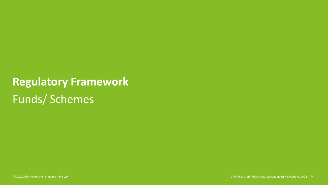# **Regulatory Framework** Funds/ Schemes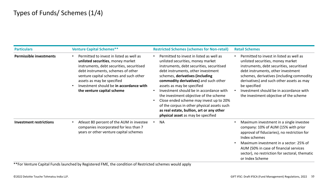| <b>Particulars</b>             | <b>Venture Capital Schemes**</b>                                                                                                                                                                                                                                                                                  | <b>Restricted Schemes (schemes for Non-retail)</b>                                                                                                                                                                                                                                                                                                                                                                                                                                                                                           | <b>Retail Schemes</b>                                                                                                                                                                                                                                                                                                                                           |
|--------------------------------|-------------------------------------------------------------------------------------------------------------------------------------------------------------------------------------------------------------------------------------------------------------------------------------------------------------------|----------------------------------------------------------------------------------------------------------------------------------------------------------------------------------------------------------------------------------------------------------------------------------------------------------------------------------------------------------------------------------------------------------------------------------------------------------------------------------------------------------------------------------------------|-----------------------------------------------------------------------------------------------------------------------------------------------------------------------------------------------------------------------------------------------------------------------------------------------------------------------------------------------------------------|
| Permissible investments        | Permitted to invest in listed as well as<br>unlisted securities, money market<br>instruments, debt securities, securitised<br>debt instruments, schemes of other<br>venture capital schemes and such other<br>assets as may be specified<br>Investment should be in accordance with<br>the venture capital scheme | Permitted to invest in listed as well as<br>unlisted securities, money market<br>instruments, debt securities, securitised<br>debt instruments, other investment<br>schemes, derivatives (including<br>commodity derivatives) and such other<br>assets as may be specified<br>Investment should be in accordance with<br>the investment objective of the scheme<br>Close ended scheme may invest up to 20%<br>of the corpus in other physical assets such<br>as real estate, bullion, art or any other<br>physical asset as may be specified | Permitted to invest in listed as well as<br>unlisted securities, money market<br>instruments, debt securities, securitised<br>debt instruments, other investment<br>schemes, derivatives (including commodity<br>derivatives) and such other assets as may<br>be specified<br>Investment should be in accordance with<br>the investment objective of the scheme |
| <b>Investment restrictions</b> | Atleast 80 percent of the AUM in investee<br>companies incorporated for less than 7<br>years or other venture capital schemes                                                                                                                                                                                     | <b>NA</b>                                                                                                                                                                                                                                                                                                                                                                                                                                                                                                                                    | Maximum investment in a single investee<br>company: 10% of AUM (15% with prior<br>approval of fiduciaries), no restriction for<br>Index schemes<br>Maximum investment in a sector: 25% of<br>AUM (50% in case of financial services<br>sector), no restriction for sectoral, thematic<br>or Index Scheme                                                        |

\*\*For Venture Capital Funds launched by Registered FME, the condition of Restricted schemes would apply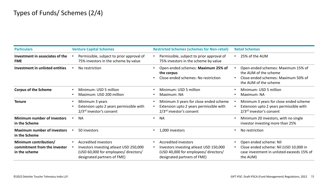| <b>Particulars</b>                                                     | <b>Venture Capital Schemes</b>                                                                                                                 | <b>Restricted Schemes (schemes for Non-retail)</b>                                                                                             | <b>Retail Schemes</b>                                                                                                       |
|------------------------------------------------------------------------|------------------------------------------------------------------------------------------------------------------------------------------------|------------------------------------------------------------------------------------------------------------------------------------------------|-----------------------------------------------------------------------------------------------------------------------------|
| Investment in associates of the                                        | Permissible, subject to prior approval of                                                                                                      | Permissible, subject to prior approval of                                                                                                      | 25% of the AUM                                                                                                              |
| <b>FME</b>                                                             | 75% investors in the scheme by value                                                                                                           | 75% investors in the scheme by value                                                                                                           |                                                                                                                             |
| Investment in unlisted entities                                        | No restriction                                                                                                                                 | Open-ended schemes: Maximum 25% of<br>the corpus<br>Close-ended schemes: No restriction                                                        | Open-ended schemes: Maximum 15% of<br>the AUM of the scheme<br>Close-ended schemes: Maximum 50% of<br>the AUM of the scheme |
| <b>Corpus of the Scheme</b>                                            | Minimum: USD 5 million                                                                                                                         | Minimum: USD 5 million                                                                                                                         | Minimum: USD 5 million                                                                                                      |
|                                                                        | Maximum: USD 200 million                                                                                                                       | Maximum: NA                                                                                                                                    | Maximum: NA                                                                                                                 |
| <b>Tenure</b>                                                          | Minimum 3 years                                                                                                                                | Minimum 3 years for close ended scheme                                                                                                         | Minimum 3 years for close ended scheme                                                                                      |
|                                                                        | Extension upto 2 years permissible with                                                                                                        | Extension upto 2 years permissible with                                                                                                        | Extension upto 2 years permissible with                                                                                     |
|                                                                        | 2/3 <sup>rd</sup> investor's consent                                                                                                           | 2/3 <sup>rd</sup> investor's consent                                                                                                           | $2/3^{rd}$ investor's consent                                                                                               |
| <b>Minimum number of investors</b>                                     | <b>NA</b>                                                                                                                                      | <b>NA</b>                                                                                                                                      | Minimum 20 investors, with no single                                                                                        |
| in the Scheme                                                          |                                                                                                                                                | $\bullet$                                                                                                                                      | investor investing more than 25%                                                                                            |
| <b>Maximum number of investors</b><br>in the Scheme                    | 50 investors                                                                                                                                   | 1,000 investors                                                                                                                                | No restriction                                                                                                              |
| Minimum contribution/<br>commitment from the investor<br>in the scheme | <b>Accredited investors</b><br>Investors investing atleast USD 250,000<br>(USD 60,000 for employees/ directors/<br>designated partners of FME) | <b>Accredited investors</b><br>Investors investing atleast USD 150,000<br>(USD 40,000 for employees/ directors/<br>designated partners of FME) | Open ended scheme: Nil<br>Close ended scheme: Nil (USD 10,000 in<br>case investment in unlisted exceeds 15% of<br>the AUM)  |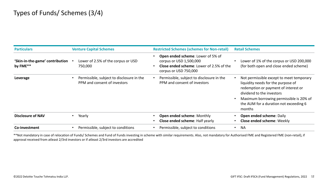| <b>Particulars</b>                          | <b>Venture Capital Schemes</b>                                            | <b>Restricted Schemes (schemes for Non-retail)</b>                                                                                       | <b>Retail Schemes</b>                                                                                                                                                                                                                              |
|---------------------------------------------|---------------------------------------------------------------------------|------------------------------------------------------------------------------------------------------------------------------------------|----------------------------------------------------------------------------------------------------------------------------------------------------------------------------------------------------------------------------------------------------|
| 'Skin-in-the-game' contribution<br>by FME** | Lower of 2.5% of the corpus or USD<br>750,000                             | Open ended scheme: Lower of 5% of<br>corpus or USD 1,500,000<br><b>Close ended scheme: Lower of 2.5% of the</b><br>corpus or USD 750,000 | Lower of 1% of the corpus or USD 200,000<br>(for both open and close ended scheme)                                                                                                                                                                 |
| Leverage                                    | Permissible, subject to disclosure in the<br>PPM and consent of investors | Permissible, subject to disclosure in the<br>PPM and consent of investors                                                                | Not permissible except to meet temporary<br>liquidity needs for the purpose of<br>redemption or payment of interest or<br>dividend to the investors<br>Maximum borrowing permissible is 20% of<br>the AUM for a duration not exceeding 6<br>months |
| <b>Disclosure of NAV</b>                    | Yearly                                                                    | Open ended scheme: Monthly<br>Close ended scheme: Half yearly                                                                            | Open ended scheme: Daily<br>Close ended scheme: Weekly                                                                                                                                                                                             |
| Co-investment                               | Permissible, subject to conditions                                        | Permissible, subject to conditions                                                                                                       | <b>NA</b><br>$\bullet$                                                                                                                                                                                                                             |

\*\*Not mandatory in case of relocation of Funds/ Schemes and Fund of Funds investing in scheme with similar requirements. Also, not mandatory for Authorised FME and Registered FME (non-retail), if approval received from atleast 2/3rd investors or if atleast 2/3rd investors are accredited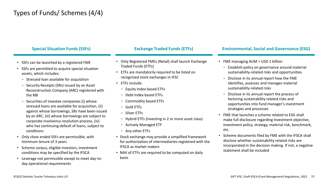### Types of Funds/ Schemes (4/4)

### **Special Situation Funds (SSFs)**

- SSFs can be launched by a registered FME
- SSFs are permitted to acquire special situation assets, which includes:
	- Stressed loan available for acquisition
	- Security Receipts (SRs) issued by an Asset Reconstruction Company (ARC) registered with the RBI
	- Securities of investee companies (i) whose stressed loans are available for acquisition, (ii) against whose borrowings, SRs have been issued by an ARC, (iii) whose borrowings are subject to corporate insolvency resolution process, (iv) who has continuing default of loans, subject to conditions
- Only close ended SSFs are permissible, with minimum tenure of 3 years
- Scheme corpus, eligible investors, investment conditions may be specified by the IFSCA
- Leverage not permissible except to meet day-today operational requirements

- Only Registered FMEs (Retail) shall launch Exchange Traded Funds (ETFs)
- ETFs are mandatorily required to be listed on recognized stock exchanges in IFSC
- ETFs include:
	- Equity Index based ETFs
	- Debt Index based ETFs
	- Commodity based ETFs
	- Gold ETFs
	- Silver ETFs
	- Hybrid ETFs (investing in 2 or more asset class)
	- Actively Managed ETF
	- Any other ETFs
- Stock exchange may provide a simplified framework for authorization of intermediaries registered with the IFSCA as market makers
- NAV of ETFs are required to be computed on daily basis

### **Exchange Traded Funds (ETFs) Environmental, Social and Governance (ESG)**

- FME managing AUM > USD 1 billion
	- Establish policy on governance around material sustainability-related risks and opportunities
	- Disclose in its annual report how the FME identifies, assesses and manages material sustainability-related risks
	- Disclose in its annual report the process of factoring sustainability related risks and opportunities into fund manager's investment strategies and processes
- FME that launches a scheme related to ESG shall make full disclosure regarding investment objective, investment policy, strategy, material risk, benchmark, etc.
- Scheme documents filed by FME with the IFSCA shall disclose whether sustainability related risks are incorporated in the decision making. If not, a negative statement shall be included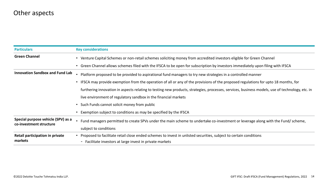### Other aspects

| <b>Particulars</b>                                            | <b>Key considerations</b>                                                                                                                       |  |  |
|---------------------------------------------------------------|-------------------------------------------------------------------------------------------------------------------------------------------------|--|--|
| <b>Green Channel</b>                                          | Venture Capital Schemes or non-retail schemes soliciting money from accredited investors eligible for Green Channel                             |  |  |
|                                                               | Green Channel allows schemes filed with the IFSCA to be open for subscription by investors immediately upon filing with IFSCA                   |  |  |
| <b>Innovation Sandbox and Fund Lab</b>                        | Platform proposed to be provided to aspirational fund managers to try new strategies in a controlled manner                                     |  |  |
|                                                               | IFSCA may provide exemption from the operation of all or any of the provisions of the proposed regulations for upto 18 months, for              |  |  |
|                                                               | furthering innovation in aspects relating to testing new products, strategies, processes, services, business models, use of technology, etc. in |  |  |
|                                                               | live environment of regulatory sandbox in the financial markets                                                                                 |  |  |
|                                                               | Such Funds cannot solicit money from public                                                                                                     |  |  |
|                                                               | Exemption subject to conditions as may be specified by the IFSCA                                                                                |  |  |
| Special purpose vehicle (SPV) as a<br>co-investment structure | Fund managers permitted to create SPVs under the main scheme to undertake co-investment or leverage along with the Fund/scheme,                 |  |  |
|                                                               | subject to conditions                                                                                                                           |  |  |
| Retail participation in private                               | Proposed to facilitate retail close ended schemes to invest in unlisted securities, subject to certain conditions                               |  |  |
| markets                                                       | - Facilitate investors at large invest in private markets                                                                                       |  |  |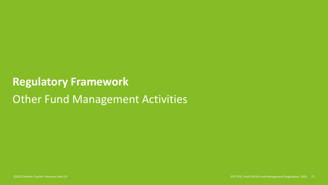### **Regulatory Framework**

## Other Fund Management Activities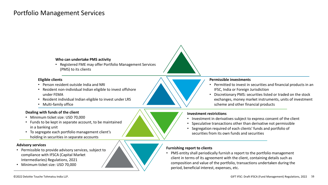### Portfolio Management Services

#### **Who can undertake PMS activity**

• Registered FME may offer Portfolio Management Services (PMS) to its clients

#### **Eligible clients**

- Person resident outside India and NRI
- Resident non-individual Indian eligible to invest offshore under FEMA
- Resident individual Indian eligible to invest under LRS
- Multi-family office

#### **Dealing with funds of the client**

- Minimum ticket size: USD 70,000
- Funds to be kept in separate account, to be maintained in a banking unit
- To segregate each portfolio management client's holding in securities in separate accounts

#### **Advisory services**

- Permissible to provide advisory services, subject to compliance with IFSCA (Capital Market Intermediaries) Regulations, 2021
- Minimum ticket size: USD 70,000

#### **Permissible investments**

- Permitted to invest in securities and financial products in an IFSC, India or Foreign Jurisdiction
- Discretionary PMS: securities listed or traded on the stock exchanges, money market instruments, units of investment scheme and other financial products

#### **Investment restrictions**

- Investment in derivatives subject to express consent of the client
- Speculative transactions other than derivative not permissible
- Segregation required of each clients' funds and portfolio of securities from its own funds and securities

#### **Furnishing report to clients**

• PMS entity shall periodically furnish a report to the portfolio management client in terms of its agreement with the client, containing details such as composition and value of the portfolio, transactions undertaken during the period, beneficial interest, expenses, etc.

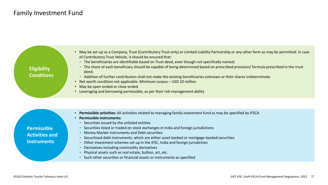### Family Investment Fund

| <b>Eligibility</b><br><b>Conditions</b> | May be set-up as a Company, Trust (Contributory Trust only) or Limited Liability Partnership or any other form as may be permitted. In case<br>of Contributory Trust Vehicle, it should be ensured that:<br>- The beneficiaries are identifiable based on Trust deed, even though not specifically named;<br>- The share of each beneficiary should be capable of being determined based on prescribed provision/formula prescribed in the trust<br>deed;<br>- Addition of further contributors shall not make the existing beneficiaries unknown or their shares indeterminate<br>Net worth condition not applicable. Minimum corpus - USD 10 million<br>May be open ended or close ended<br>Leveraging and borrowing permissible, as per their risk management ability |
|-----------------------------------------|--------------------------------------------------------------------------------------------------------------------------------------------------------------------------------------------------------------------------------------------------------------------------------------------------------------------------------------------------------------------------------------------------------------------------------------------------------------------------------------------------------------------------------------------------------------------------------------------------------------------------------------------------------------------------------------------------------------------------------------------------------------------------|
|                                         |                                                                                                                                                                                                                                                                                                                                                                                                                                                                                                                                                                                                                                                                                                                                                                          |
|                                         | Permissible activities: All activities related to managing family investment fund as may be specified by IFSCA<br><b>Permissible instruments:</b><br>- Securities issued by the unlisted entities                                                                                                                                                                                                                                                                                                                                                                                                                                                                                                                                                                        |

- **Permissible Activities and Instruments**
- Securities listed or traded on stock exchanges in India and foreign jurisdictions
- Money Market Instruments and Debt securities
- Securitised debt instruments, which are either asset backed or mortgage-backed securities
- Other investment schemes set up in the IFSC, India and foreign jurisdiction
- Derivatives including commodity derivatives
- Physical assets such as real estate, bullion, art, etc.
- Such other securities or financial assets or instruments as specified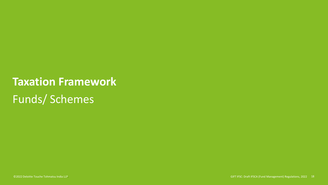## **Taxation Framework**

Funds/ Schemes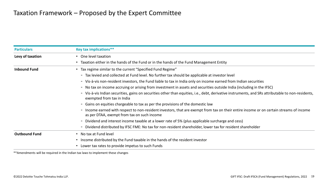| <b>Particulars</b>   | <b>Key tax implications**</b>                                                                                                                                                          |  |  |
|----------------------|----------------------------------------------------------------------------------------------------------------------------------------------------------------------------------------|--|--|
| Levy of taxation     | One level taxation                                                                                                                                                                     |  |  |
|                      | Taxation either in the hands of the Fund or in the hands of the Fund Management Entity                                                                                                 |  |  |
| <b>Inbound Fund</b>  | Tax regime similar to the current "Specified Fund Regime"                                                                                                                              |  |  |
|                      | - Tax levied and collected at Fund level. No further tax should be applicable at investor level                                                                                        |  |  |
|                      | - Vis-à-vis non-resident investors, the Fund liable to tax in India only on income earned from Indian securities                                                                       |  |  |
|                      | - No tax on income accruing or arising from investment in assets and securities outside India (including in the IFSC)                                                                  |  |  |
|                      | - Vis-à-vis Indian securities, gains on securities other than equities, i.e., debt, derivative instruments, and SRs attributable to non-residents,<br>exempted from tax in India       |  |  |
|                      | - Gains on equities chargeable to tax as per the provisions of the domestic law                                                                                                        |  |  |
|                      | - Income earned with respect to non-resident investors, that are exempt from tax on their entire income or on certain streams of income<br>as per DTAA, exempt from tax on such income |  |  |
|                      | - Dividend and interest income taxable at a lower rate of 5% (plus applicable surcharge and cess)                                                                                      |  |  |
|                      | - Dividend distributed by IFSC FME: No tax for non-resident shareholder, lower tax for resident shareholder                                                                            |  |  |
| <b>Outbound Fund</b> | No tax at Fund level                                                                                                                                                                   |  |  |
|                      | Income distributed by the Fund taxable in the hands of the resident investor                                                                                                           |  |  |
|                      | Lower tax rates to provide impetus to such Funds                                                                                                                                       |  |  |

\*\*Amendments will be required in the Indian tax laws to implement these changes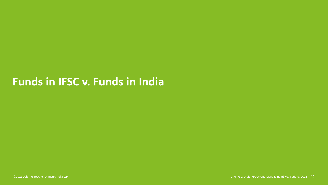### **Funds in IFSC v. Funds in India**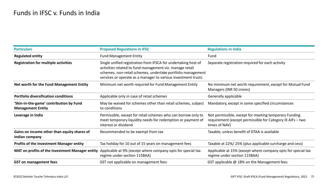| <b>Particulars</b>                                                  | <b>Proposed Regulations in IFSC</b>                                                                                                                                                                                                                        | <b>Regulations in India</b>                                                                                                           |
|---------------------------------------------------------------------|------------------------------------------------------------------------------------------------------------------------------------------------------------------------------------------------------------------------------------------------------------|---------------------------------------------------------------------------------------------------------------------------------------|
| <b>Regulated entity</b>                                             | <b>Fund Management Entity</b>                                                                                                                                                                                                                              | Fund                                                                                                                                  |
| <b>Registration for multiple activities</b>                         | Single unified registration from IFSCA for undertaking host of<br>activities related to fund management viz. manage retail<br>schemes, non-retail schemes, undertake portfolio management<br>services or operate as a manager to various investment trusts | Separate registration required for each activity                                                                                      |
| Net worth for the Fund Management Entity                            | Minimum net worth required for Fund Management Entity                                                                                                                                                                                                      | No minimum net worth requirement, except for Mutual Fund<br>Managers (INR 50 crores)                                                  |
| <b>Portfolio diversification conditions</b>                         | Applicable only in case of retail schemes                                                                                                                                                                                                                  | Generally applicable                                                                                                                  |
| 'Skin-in-the-game' contribution by Fund<br><b>Management Entity</b> | May be waived for schemes other than retail schemes, subject<br>to conditions                                                                                                                                                                              | Mandatory, except in some specified circumstances                                                                                     |
| Leverage in India                                                   | Permissible, except for retail schemes who can borrow only to<br>meet temporary liquidity needs for redemption or payment of<br>interest or dividend                                                                                                       | Not permissible, except for meeting temporary Funding<br>requirement (except permissible for Category III AIFs - two<br>times of NAV) |
| Gains on income other than equity shares of<br>Indian company       | Recommended to be exempt from tax                                                                                                                                                                                                                          | Taxable, unless benefit of DTAA is available                                                                                          |
| <b>Profits of the Investment Manager entity</b>                     | Tax holiday for 10 out of 15 years on management fees                                                                                                                                                                                                      | Taxable at 22%/25% (plus applicable surcharge and cess)                                                                               |
| MAT on profits of the Investment Manager entity                     | Applicable at 9% (except where company opts for special tax<br>regime under section 115BAA)                                                                                                                                                                | Applicable at 15% (except where company opts for special tax<br>regime under section 115BAA)                                          |
| <b>GST on management fees</b>                                       | GST not applicable on management fees                                                                                                                                                                                                                      | GST applicable @ 18% on the Management fees                                                                                           |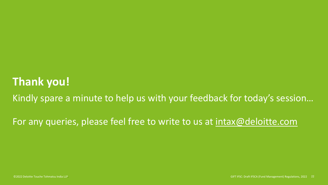### **Thank you!**

Kindly spare a minute to help us with your feedback for today's session…

For any queries, please feel free to write to us at [intax@deloitte.com](mailto:intax@deloitte.com)